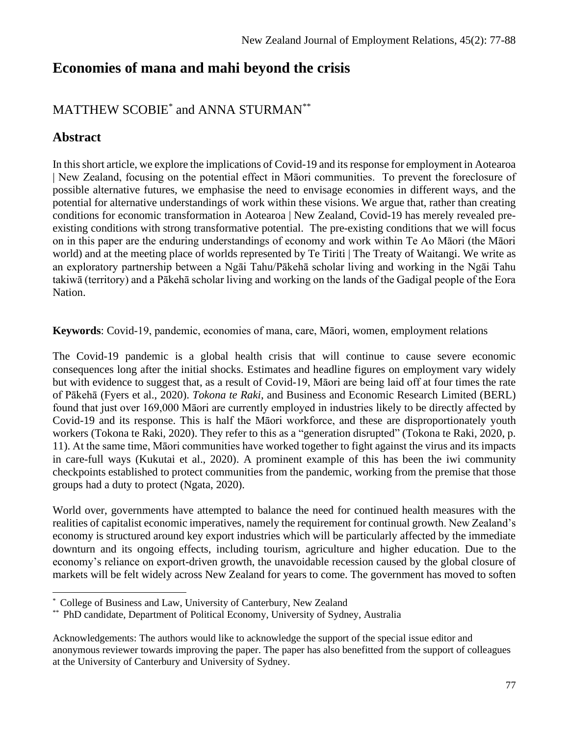# **Economies of mana and mahi beyond the crisis**

### MATTHEW SCOBIE\* and ANNA STURMAN\*\*

### **Abstract**

In this short article, we explore the implications of Covid-19 and its response for employment in Aotearoa | New Zealand, focusing on the potential effect in Māori communities. To prevent the foreclosure of possible alternative futures, we emphasise the need to envisage economies in different ways, and the potential for alternative understandings of work within these visions. We argue that, rather than creating conditions for economic transformation in Aotearoa | New Zealand, Covid-19 has merely revealed preexisting conditions with strong transformative potential. The pre-existing conditions that we will focus on in this paper are the enduring understandings of economy and work within Te Ao Māori (the Māori world) and at the meeting place of worlds represented by Te Tiriti | The Treaty of Waitangi. We write as an exploratory partnership between a Ngāi Tahu/Pākehā scholar living and working in the Ngāi Tahu takiwā (territory) and a Pākehā scholar living and working on the lands of the Gadigal people of the Eora Nation.

**Keywords**: Covid-19, pandemic, economies of mana, care, Māori, women, employment relations

The Covid-19 pandemic is a global health crisis that will continue to cause severe economic consequences long after the initial shocks. Estimates and headline figures on employment vary widely but with evidence to suggest that, as a result of Covid-19, Māori are being laid off at four times the rate of Pākehā (Fyers et al., 2020). *Tokona te Raki*, and Business and Economic Research Limited (BERL) found that just over 169,000 Māori are currently employed in industries likely to be directly affected by Covid-19 and its response. This is half the Māori workforce, and these are disproportionately youth workers (Tokona te Raki, 2020). They refer to this as a "generation disrupted" (Tokona te Raki, 2020, p. 11). At the same time, Māori communities have worked together to fight against the virus and its impacts in care-full ways (Kukutai et al., 2020). A prominent example of this has been the iwi community checkpoints established to protect communities from the pandemic, working from the premise that those groups had a duty to protect (Ngata, 2020).

World over, governments have attempted to balance the need for continued health measures with the realities of capitalist economic imperatives, namely the requirement for continual growth. New Zealand's economy is structured around key export industries which will be particularly affected by the immediate downturn and its ongoing effects, including tourism, agriculture and higher education. Due to the economy's reliance on export-driven growth, the unavoidable recession caused by the global closure of markets will be felt widely across New Zealand for years to come. The government has moved to soften

<sup>\*</sup> College of Business and Law, University of Canterbury, New Zealand

<sup>\*\*</sup> PhD candidate, Department of Political Economy, University of Sydney, Australia

Acknowledgements: The authors would like to acknowledge the support of the special issue editor and anonymous reviewer towards improving the paper. The paper has also benefitted from the support of colleagues at the University of Canterbury and University of Sydney.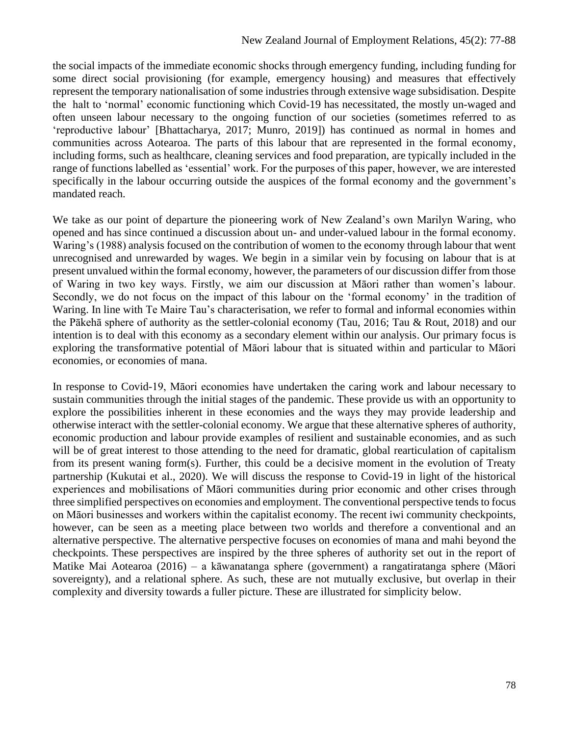the social impacts of the immediate economic shocks through emergency funding, including funding for some direct social provisioning (for example, emergency housing) and measures that effectively represent the temporary nationalisation of some industries through extensive wage subsidisation. Despite the halt to 'normal' economic functioning which Covid-19 has necessitated, the mostly un-waged and often unseen labour necessary to the ongoing function of our societies (sometimes referred to as 'reproductive labour' [Bhattacharya, 2017; Munro, 2019]) has continued as normal in homes and communities across Aotearoa. The parts of this labour that are represented in the formal economy, including forms, such as healthcare, cleaning services and food preparation, are typically included in the range of functions labelled as 'essential' work. For the purposes of this paper, however, we are interested specifically in the labour occurring outside the auspices of the formal economy and the government's mandated reach.

We take as our point of departure the pioneering work of New Zealand's own Marilyn Waring, who opened and has since continued a discussion about un- and under-valued labour in the formal economy. Waring's (1988) analysis focused on the contribution of women to the economy through labour that went unrecognised and unrewarded by wages. We begin in a similar vein by focusing on labour that is at present unvalued within the formal economy, however, the parameters of our discussion differ from those of Waring in two key ways. Firstly, we aim our discussion at Māori rather than women's labour. Secondly, we do not focus on the impact of this labour on the 'formal economy' in the tradition of Waring. In line with Te Maire Tau's characterisation, we refer to formal and informal economies within the Pākehā sphere of authority as the settler-colonial economy (Tau, 2016; Tau & Rout, 2018) and our intention is to deal with this economy as a secondary element within our analysis. Our primary focus is exploring the transformative potential of Māori labour that is situated within and particular to Māori economies, or economies of mana.

In response to Covid-19, Māori economies have undertaken the caring work and labour necessary to sustain communities through the initial stages of the pandemic. These provide us with an opportunity to explore the possibilities inherent in these economies and the ways they may provide leadership and otherwise interact with the settler-colonial economy. We argue that these alternative spheres of authority, economic production and labour provide examples of resilient and sustainable economies, and as such will be of great interest to those attending to the need for dramatic, global rearticulation of capitalism from its present waning form(s). Further, this could be a decisive moment in the evolution of Treaty partnership (Kukutai et al., 2020). We will discuss the response to Covid-19 in light of the historical experiences and mobilisations of Māori communities during prior economic and other crises through three simplified perspectives on economies and employment. The conventional perspective tends to focus on Māori businesses and workers within the capitalist economy. The recent iwi community checkpoints, however, can be seen as a meeting place between two worlds and therefore a conventional and an alternative perspective. The alternative perspective focuses on economies of mana and mahi beyond the checkpoints. These perspectives are inspired by the three spheres of authority set out in the report of Matike Mai Aotearoa (2016) – a kāwanatanga sphere (government) a rangatiratanga sphere (Māori sovereignty), and a relational sphere. As such, these are not mutually exclusive, but overlap in their complexity and diversity towards a fuller picture. These are illustrated for simplicity below.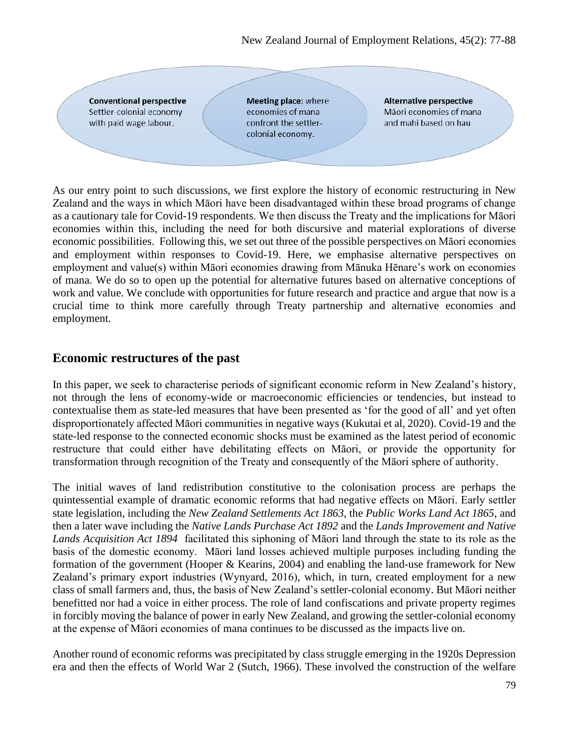**Conventional perspective** Settler-colonial economy with paid wage labour.

Meeting place: where economies of mana confront the settlercolonial economy.

Alternative perspective Māori economies of mana and mahi based on hau

As our entry point to such discussions, we first explore the history of economic restructuring in New Zealand and the ways in which Māori have been disadvantaged within these broad programs of change as a cautionary tale for Covid-19 respondents. We then discuss the Treaty and the implications for Māori economies within this, including the need for both discursive and material explorations of diverse economic possibilities. Following this, we set out three of the possible perspectives on Māori economies and employment within responses to Covid-19. Here, we emphasise alternative perspectives on employment and value(s) within Māori economies drawing from Mānuka Hēnare's work on economies of mana. We do so to open up the potential for alternative futures based on alternative conceptions of work and value. We conclude with opportunities for future research and practice and argue that now is a crucial time to think more carefully through Treaty partnership and alternative economies and employment.

#### **Economic restructures of the past**

In this paper, we seek to characterise periods of significant economic reform in New Zealand's history, not through the lens of economy-wide or macroeconomic efficiencies or tendencies, but instead to contextualise them as state-led measures that have been presented as 'for the good of all' and yet often disproportionately affected Māori communities in negative ways (Kukutai et al, 2020). Covid-19 and the state-led response to the connected economic shocks must be examined as the latest period of economic restructure that could either have debilitating effects on Māori, or provide the opportunity for transformation through recognition of the Treaty and consequently of the Māori sphere of authority.

The initial waves of land redistribution constitutive to the colonisation process are perhaps the quintessential example of dramatic economic reforms that had negative effects on Māori. Early settler state legislation, including the *New Zealand Settlements Act 1863,* the *Public Works Land Act 1865*, and then a later wave including the *Native Lands Purchase Act 1892* and the *Lands Improvement and Native Lands Acquisition Act 1894* facilitated this siphoning of Māori land through the state to its role as the basis of the domestic economy. Māori land losses achieved multiple purposes including funding the formation of the government (Hooper & Kearins, 2004) and enabling the land-use framework for New Zealand's primary export industries (Wynyard, 2016), which, in turn, created employment for a new class of small farmers and, thus, the basis of New Zealand's settler-colonial economy. But Māori neither benefitted nor had a voice in either process. The role of land confiscations and private property regimes in forcibly moving the balance of power in early New Zealand, and growing the settler-colonial economy at the expense of Māori economies of mana continues to be discussed as the impacts live on.

Another round of economic reforms was precipitated by class struggle emerging in the 1920s Depression era and then the effects of World War 2 (Sutch, 1966). These involved the construction of the welfare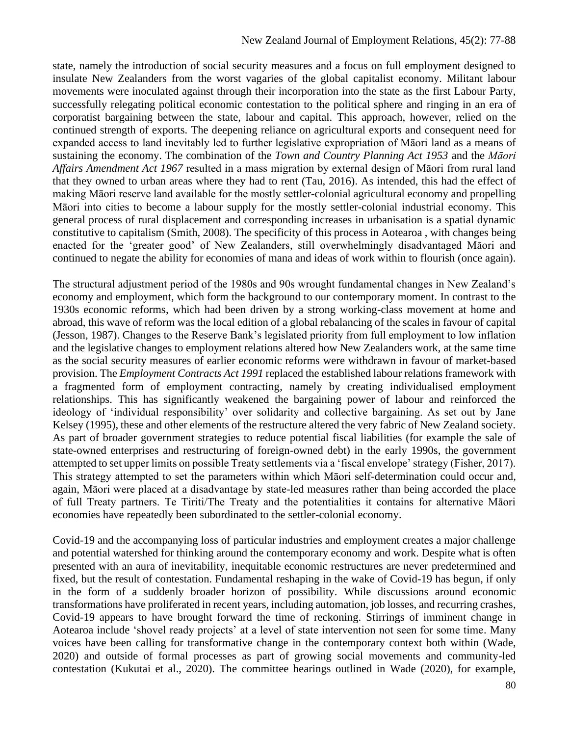state, namely the introduction of social security measures and a focus on full employment designed to insulate New Zealanders from the worst vagaries of the global capitalist economy. Militant labour movements were inoculated against through their incorporation into the state as the first Labour Party, successfully relegating political economic contestation to the political sphere and ringing in an era of corporatist bargaining between the state, labour and capital. This approach, however, relied on the continued strength of exports. The deepening reliance on agricultural exports and consequent need for expanded access to land inevitably led to further legislative expropriation of Māori land as a means of sustaining the economy. The combination of the *Town and Country Planning Act 1953* and the *Māori Affairs Amendment Act 1967* resulted in a mass migration by external design of Māori from rural land that they owned to urban areas where they had to rent (Tau, 2016). As intended, this had the effect of making Māori reserve land available for the mostly settler-colonial agricultural economy and propelling Māori into cities to become a labour supply for the mostly settler-colonial industrial economy. This general process of rural displacement and corresponding increases in urbanisation is a spatial dynamic constitutive to capitalism (Smith, 2008). The specificity of this process in Aotearoa , with changes being enacted for the 'greater good' of New Zealanders, still overwhelmingly disadvantaged Māori and continued to negate the ability for economies of mana and ideas of work within to flourish (once again).

The structural adjustment period of the 1980s and 90s wrought fundamental changes in New Zealand's economy and employment, which form the background to our contemporary moment. In contrast to the 1930s economic reforms, which had been driven by a strong working-class movement at home and abroad, this wave of reform was the local edition of a global rebalancing of the scales in favour of capital (Jesson, 1987). Changes to the Reserve Bank's legislated priority from full employment to low inflation and the legislative changes to employment relations altered how New Zealanders work, at the same time as the social security measures of earlier economic reforms were withdrawn in favour of market-based provision. The *Employment Contracts Act 1991* replaced the established labour relations framework with a fragmented form of employment contracting, namely by creating individualised employment relationships. This has significantly weakened the bargaining power of labour and reinforced the ideology of 'individual responsibility' over solidarity and collective bargaining. As set out by Jane Kelsey (1995), these and other elements of the restructure altered the very fabric of New Zealand society. As part of broader government strategies to reduce potential fiscal liabilities (for example the sale of state-owned enterprises and restructuring of foreign-owned debt) in the early 1990s, the government attempted to set upper limits on possible Treaty settlements via a 'fiscal envelope' strategy (Fisher, 2017). This strategy attempted to set the parameters within which Māori self-determination could occur and, again, Māori were placed at a disadvantage by state-led measures rather than being accorded the place of full Treaty partners. Te Tiriti/The Treaty and the potentialities it contains for alternative Māori economies have repeatedly been subordinated to the settler-colonial economy.

Covid-19 and the accompanying loss of particular industries and employment creates a major challenge and potential watershed for thinking around the contemporary economy and work. Despite what is often presented with an aura of inevitability, inequitable economic restructures are never predetermined and fixed, but the result of contestation. Fundamental reshaping in the wake of Covid-19 has begun, if only in the form of a suddenly broader horizon of possibility. While discussions around economic transformations have proliferated in recent years, including automation, job losses, and recurring crashes, Covid-19 appears to have brought forward the time of reckoning. Stirrings of imminent change in Aotearoa include 'shovel ready projects' at a level of state intervention not seen for some time. Many voices have been calling for transformative change in the contemporary context both within (Wade, 2020) and outside of formal processes as part of growing social movements and community-led contestation (Kukutai et al., 2020). The committee hearings outlined in Wade (2020), for example,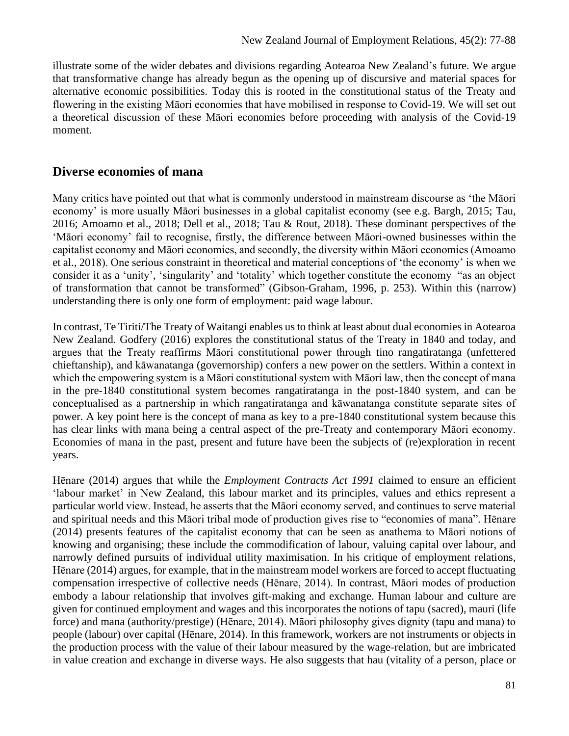illustrate some of the wider debates and divisions regarding Aotearoa New Zealand's future. We argue that transformative change has already begun as the opening up of discursive and material spaces for alternative economic possibilities. Today this is rooted in the constitutional status of the Treaty and flowering in the existing Māori economies that have mobilised in response to Covid-19. We will set out a theoretical discussion of these Māori economies before proceeding with analysis of the Covid-19 moment.

#### **Diverse economies of mana**

Many critics have pointed out that what is commonly understood in mainstream discourse as 'the Māori economy' is more usually Māori businesses in a global capitalist economy (see e.g. Bargh, 2015; Tau, 2016; Amoamo et al., 2018; Dell et al., 2018; Tau & Rout, 2018). These dominant perspectives of the 'Māori economy' fail to recognise, firstly, the difference between Māori-owned businesses within the capitalist economy and Māori economies, and secondly, the diversity within Māori economies (Amoamo et al., 2018). One serious constraint in theoretical and material conceptions of 'the economy' is when we consider it as a 'unity', 'singularity' and 'totality' which together constitute the economy "as an object of transformation that cannot be transformed" (Gibson-Graham, 1996, p. 253). Within this (narrow) understanding there is only one form of employment: paid wage labour.

In contrast, Te Tiriti/The Treaty of Waitangi enables us to think at least about dual economies in Aotearoa New Zealand. Godfery (2016) explores the constitutional status of the Treaty in 1840 and today, and argues that the Treaty reaffirms Māori constitutional power through tino rangatiratanga (unfettered chieftanship), and kāwanatanga (governorship) confers a new power on the settlers. Within a context in which the empowering system is a Māori constitutional system with Māori law, then the concept of mana in the pre-1840 constitutional system becomes rangatiratanga in the post-1840 system, and can be conceptualised as a partnership in which rangatiratanga and kāwanatanga constitute separate sites of power. A key point here is the concept of mana as key to a pre-1840 constitutional system because this has clear links with mana being a central aspect of the pre-Treaty and contemporary Māori economy. Economies of mana in the past, present and future have been the subjects of (re)exploration in recent years.

Hēnare (2014) argues that while the *Employment Contracts Act 1991* claimed to ensure an efficient 'labour market' in New Zealand, this labour market and its principles, values and ethics represent a particular world view. Instead, he asserts that the Māori economy served, and continues to serve material and spiritual needs and this Māori tribal mode of production gives rise to "economies of mana". Hēnare (2014) presents features of the capitalist economy that can be seen as anathema to Māori notions of knowing and organising; these include the commodification of labour, valuing capital over labour, and narrowly defined pursuits of individual utility maximisation. In his critique of employment relations, Hēnare (2014) argues, for example, that in the mainstream model workers are forced to accept fluctuating compensation irrespective of collective needs (Hēnare, 2014). In contrast, Māori modes of production embody a labour relationship that involves gift-making and exchange. Human labour and culture are given for continued employment and wages and this incorporates the notions of tapu (sacred), mauri (life force) and mana (authority/prestige) (Hēnare, 2014). Māori philosophy gives dignity (tapu and mana) to people (labour) over capital (Hēnare, 2014). In this framework, workers are not instruments or objects in the production process with the value of their labour measured by the wage-relation, but are imbricated in value creation and exchange in diverse ways. He also suggests that hau (vitality of a person, place or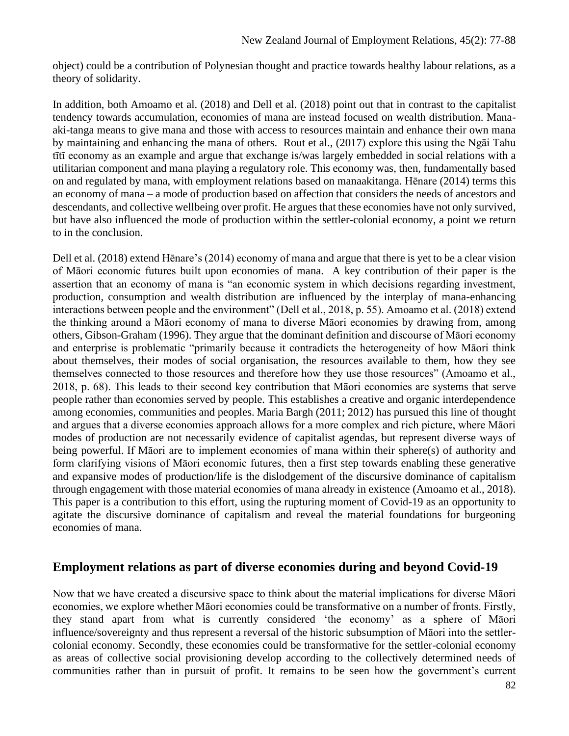object) could be a contribution of Polynesian thought and practice towards healthy labour relations, as a theory of solidarity.

In addition, both Amoamo et al. (2018) and Dell et al. (2018) point out that in contrast to the capitalist tendency towards accumulation, economies of mana are instead focused on wealth distribution. Manaaki-tanga means to give mana and those with access to resources maintain and enhance their own mana by maintaining and enhancing the mana of others. Rout et al., (2017) explore this using the Ngāi Tahu tītī economy as an example and argue that exchange is/was largely embedded in social relations with a utilitarian component and mana playing a regulatory role. This economy was, then, fundamentally based on and regulated by mana, with employment relations based on manaakitanga. Hēnare (2014) terms this an economy of mana – a mode of production based on affection that considers the needs of ancestors and descendants, and collective wellbeing over profit. He argues that these economies have not only survived, but have also influenced the mode of production within the settler-colonial economy, a point we return to in the conclusion.

Dell et al. (2018) extend Hēnare's (2014) economy of mana and argue that there is yet to be a clear vision of Māori economic futures built upon economies of mana. A key contribution of their paper is the assertion that an economy of mana is "an economic system in which decisions regarding investment, production, consumption and wealth distribution are influenced by the interplay of mana-enhancing interactions between people and the environment" (Dell et al., 2018, p. 55). Amoamo et al. (2018) extend the thinking around a Māori economy of mana to diverse Māori economies by drawing from, among others, Gibson-Graham (1996). They argue that the dominant definition and discourse of Māori economy and enterprise is problematic "primarily because it contradicts the heterogeneity of how Māori think about themselves, their modes of social organisation, the resources available to them, how they see themselves connected to those resources and therefore how they use those resources" (Amoamo et al., 2018, p. 68). This leads to their second key contribution that Māori economies are systems that serve people rather than economies served by people. This establishes a creative and organic interdependence among economies, communities and peoples. Maria Bargh (2011; 2012) has pursued this line of thought and argues that a diverse economies approach allows for a more complex and rich picture, where Māori modes of production are not necessarily evidence of capitalist agendas, but represent diverse ways of being powerful. If Māori are to implement economies of mana within their sphere(s) of authority and form clarifying visions of Māori economic futures, then a first step towards enabling these generative and expansive modes of production/life is the dislodgement of the discursive dominance of capitalism through engagement with those material economies of mana already in existence (Amoamo et al., 2018). This paper is a contribution to this effort, using the rupturing moment of Covid-19 as an opportunity to agitate the discursive dominance of capitalism and reveal the material foundations for burgeoning economies of mana.

#### **Employment relations as part of diverse economies during and beyond Covid-19**

Now that we have created a discursive space to think about the material implications for diverse Māori economies, we explore whether Māori economies could be transformative on a number of fronts. Firstly, they stand apart from what is currently considered 'the economy' as a sphere of Māori influence/sovereignty and thus represent a reversal of the historic subsumption of Māori into the settlercolonial economy. Secondly, these economies could be transformative for the settler-colonial economy as areas of collective social provisioning develop according to the collectively determined needs of communities rather than in pursuit of profit. It remains to be seen how the government's current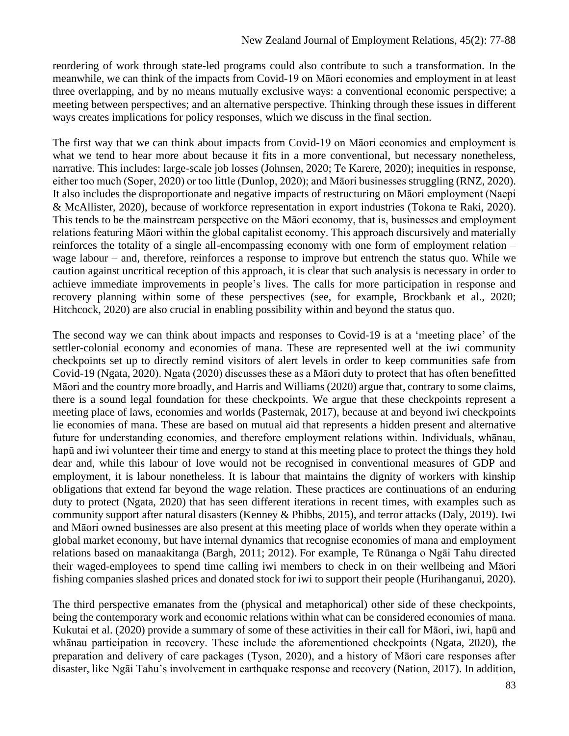reordering of work through state-led programs could also contribute to such a transformation. In the meanwhile, we can think of the impacts from Covid-19 on Māori economies and employment in at least three overlapping, and by no means mutually exclusive ways: a conventional economic perspective; a meeting between perspectives; and an alternative perspective. Thinking through these issues in different ways creates implications for policy responses, which we discuss in the final section.

The first way that we can think about impacts from Covid-19 on Māori economies and employment is what we tend to hear more about because it fits in a more conventional, but necessary nonetheless, narrative. This includes: large-scale job losses (Johnsen, 2020; Te Karere, 2020); inequities in response, either too much (Soper, 2020) or too little (Dunlop, 2020); and Māori businesses struggling (RNZ, 2020). It also includes the disproportionate and negative impacts of restructuring on Māori employment (Naepi & McAllister, 2020), because of workforce representation in export industries (Tokona te Raki, 2020). This tends to be the mainstream perspective on the Māori economy, that is, businesses and employment relations featuring Māori within the global capitalist economy. This approach discursively and materially reinforces the totality of a single all-encompassing economy with one form of employment relation – wage labour – and, therefore, reinforces a response to improve but entrench the status quo. While we caution against uncritical reception of this approach, it is clear that such analysis is necessary in order to achieve immediate improvements in people's lives. The calls for more participation in response and recovery planning within some of these perspectives (see, for example, Brockbank et al., 2020; Hitchcock, 2020) are also crucial in enabling possibility within and beyond the status quo.

The second way we can think about impacts and responses to Covid-19 is at a 'meeting place' of the settler-colonial economy and economies of mana. These are represented well at the iwi community checkpoints set up to directly remind visitors of alert levels in order to keep communities safe from Covid-19 (Ngata, 2020). Ngata (2020) discusses these as a Māori duty to protect that has often benefitted Māori and the country more broadly, and Harris and Williams (2020) argue that, contrary to some claims, there is a sound legal foundation for these checkpoints. We argue that these checkpoints represent a meeting place of laws, economies and worlds (Pasternak, 2017), because at and beyond iwi checkpoints lie economies of mana. These are based on mutual aid that represents a hidden present and alternative future for understanding economies, and therefore employment relations within. Individuals, whānau, hapū and iwi volunteer their time and energy to stand at this meeting place to protect the things they hold dear and, while this labour of love would not be recognised in conventional measures of GDP and employment, it is labour nonetheless. It is labour that maintains the dignity of workers with kinship obligations that extend far beyond the wage relation. These practices are continuations of an enduring duty to protect (Ngata, 2020) that has seen different iterations in recent times, with examples such as community support after natural disasters (Kenney & Phibbs, 2015), and terror attacks (Daly, 2019). Iwi and Māori owned businesses are also present at this meeting place of worlds when they operate within a global market economy, but have internal dynamics that recognise economies of mana and employment relations based on manaakitanga (Bargh, 2011; 2012). For example, Te Rūnanga o Ngāi Tahu directed their waged-employees to spend time calling iwi members to check in on their wellbeing and Māori fishing companies slashed prices and donated stock for iwi to support their people (Hurihanganui, 2020).

The third perspective emanates from the (physical and metaphorical) other side of these checkpoints, being the contemporary work and economic relations within what can be considered economies of mana. Kukutai et al. (2020) provide a summary of some of these activities in their call for Māori, iwi, hapū and whānau participation in recovery. These include the aforementioned checkpoints (Ngata, 2020), the preparation and delivery of care packages (Tyson, 2020), and a history of Māori care responses after disaster, like Ngāi Tahu's involvement in earthquake response and recovery (Nation, 2017). In addition,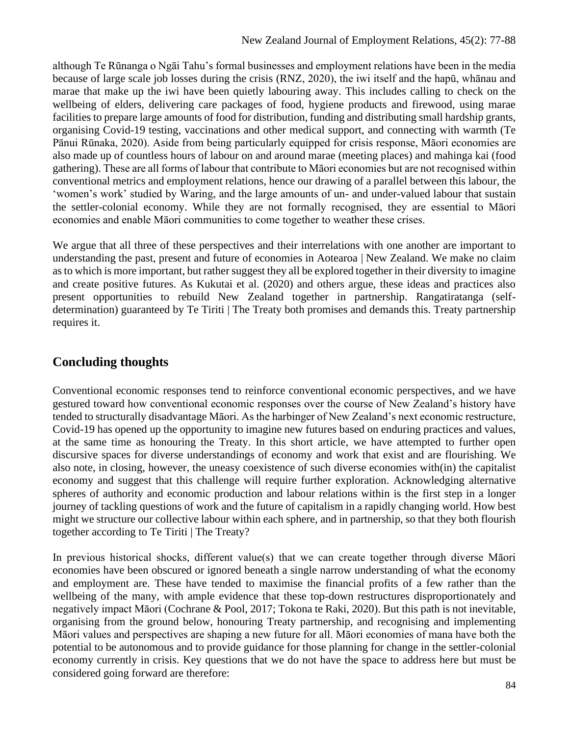although Te Rūnanga o Ngāi Tahu's formal businesses and employment relations have been in the media because of large scale job losses during the crisis (RNZ, 2020), the iwi itself and the hapū, whānau and marae that make up the iwi have been quietly labouring away. This includes calling to check on the wellbeing of elders, delivering care packages of food, hygiene products and firewood, using marae facilities to prepare large amounts of food for distribution, funding and distributing small hardship grants, organising Covid-19 testing, vaccinations and other medical support, and connecting with warmth (Te Pānui Rūnaka, 2020). Aside from being particularly equipped for crisis response, Māori economies are also made up of countless hours of labour on and around marae (meeting places) and mahinga kai (food gathering). These are all forms of labour that contribute to Māori economies but are not recognised within conventional metrics and employment relations, hence our drawing of a parallel between this labour, the 'women's work' studied by Waring, and the large amounts of un- and under-valued labour that sustain the settler-colonial economy. While they are not formally recognised, they are essential to Māori economies and enable Māori communities to come together to weather these crises.

We argue that all three of these perspectives and their interrelations with one another are important to understanding the past, present and future of economies in Aotearoa | New Zealand. We make no claim as to which is more important, but rather suggest they all be explored together in their diversity to imagine and create positive futures. As Kukutai et al. (2020) and others argue, these ideas and practices also present opportunities to rebuild New Zealand together in partnership. Rangatiratanga (selfdetermination) guaranteed by Te Tiriti | The Treaty both promises and demands this. Treaty partnership requires it.

## **Concluding thoughts**

Conventional economic responses tend to reinforce conventional economic perspectives, and we have gestured toward how conventional economic responses over the course of New Zealand's history have tended to structurally disadvantage Māori. As the harbinger of New Zealand's next economic restructure, Covid-19 has opened up the opportunity to imagine new futures based on enduring practices and values, at the same time as honouring the Treaty. In this short article, we have attempted to further open discursive spaces for diverse understandings of economy and work that exist and are flourishing. We also note, in closing, however, the uneasy coexistence of such diverse economies with(in) the capitalist economy and suggest that this challenge will require further exploration. Acknowledging alternative spheres of authority and economic production and labour relations within is the first step in a longer journey of tackling questions of work and the future of capitalism in a rapidly changing world. How best might we structure our collective labour within each sphere, and in partnership, so that they both flourish together according to Te Tiriti | The Treaty?

In previous historical shocks, different value(s) that we can create together through diverse Māori economies have been obscured or ignored beneath a single narrow understanding of what the economy and employment are. These have tended to maximise the financial profits of a few rather than the wellbeing of the many, with ample evidence that these top-down restructures disproportionately and negatively impact Māori (Cochrane & Pool, 2017; Tokona te Raki, 2020). But this path is not inevitable, organising from the ground below, honouring Treaty partnership, and recognising and implementing Māori values and perspectives are shaping a new future for all. Māori economies of mana have both the potential to be autonomous and to provide guidance for those planning for change in the settler-colonial economy currently in crisis. Key questions that we do not have the space to address here but must be considered going forward are therefore: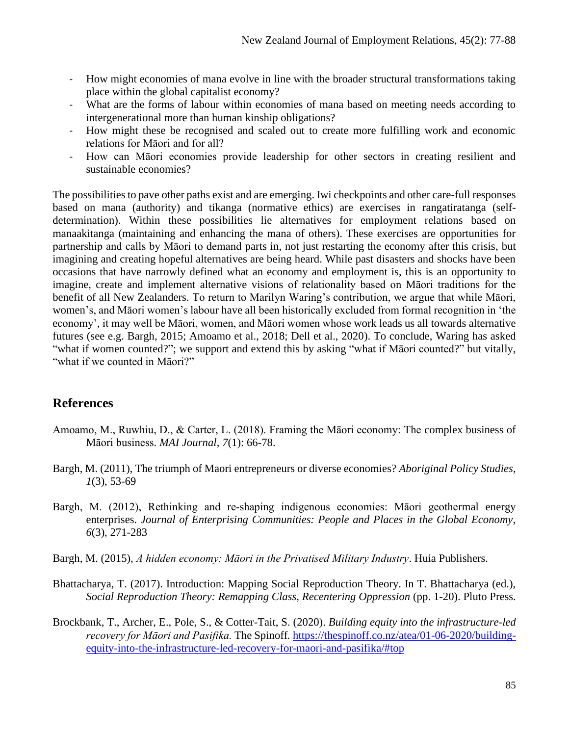- How might economies of mana evolve in line with the broader structural transformations taking place within the global capitalist economy?
- What are the forms of labour within economies of mana based on meeting needs according to intergenerational more than human kinship obligations?
- How might these be recognised and scaled out to create more fulfilling work and economic relations for Māori and for all?
- How can Māori economies provide leadership for other sectors in creating resilient and sustainable economies?

The possibilities to pave other paths exist and are emerging. Iwi checkpoints and other care-full responses based on mana (authority) and tikanga (normative ethics) are exercises in rangatiratanga (selfdetermination). Within these possibilities lie alternatives for employment relations based on manaakitanga (maintaining and enhancing the mana of others). These exercises are opportunities for partnership and calls by Māori to demand parts in, not just restarting the economy after this crisis, but imagining and creating hopeful alternatives are being heard. While past disasters and shocks have been occasions that have narrowly defined what an economy and employment is, this is an opportunity to imagine, create and implement alternative visions of relationality based on Māori traditions for the benefit of all New Zealanders. To return to Marilyn Waring's contribution, we argue that while Māori, women's, and Māori women's labour have all been historically excluded from formal recognition in 'the economy', it may well be Māori, women, and Māori women whose work leads us all towards alternative futures (see e.g. Bargh, 2015; Amoamo et al., 2018; Dell et al., 2020). To conclude, Waring has asked "what if women counted?"; we support and extend this by asking "what if Māori counted?" but vitally, "what if we counted in Māori?"

### **References**

- [Amoamo, M., Ruwhiu, D., & Carter, L. \(2018\). Framing the Māori economy: The complex business of](https://learn.canterbury.ac.nz/mod/url/view.php?id=1306547)  [Māori business.](https://learn.canterbury.ac.nz/mod/url/view.php?id=1306547) *MAI Journal, 7*(1): 66-78.
- Bargh, M. (2011), The triumph of Maori entrepreneurs or diverse economies? *Aboriginal Policy Studies, 1*(3), 53-69
- Bargh, M. (2012), Rethinking and re‐shaping indigenous economies: Māori geothermal energy enterprises. *Journal of Enterprising Communities: People and Places in the Global Economy, 6*(3), 271-283
- Bargh, M. (2015), *A hidden economy: Māori in the Privatised Military Industry*. Huia Publishers.
- Bhattacharya, T. (2017). Introduction: Mapping Social Reproduction Theory. In T. Bhattacharya (ed.), *Social Reproduction Theory: Remapping Class, Recentering Oppression* (pp. 1-20). Pluto Press.
- Brockbank, T., Archer, E., Pole, S., & Cotter-Tait, S. (2020). *Building equity into the infrastructure-led recovery for Māori and Pasifika.* The Spinoff*.* [https://thespinoff.co.nz/atea/01-06-2020/building](https://thespinoff.co.nz/atea/01-06-2020/building-equity-into-the-infrastructure-led-recovery-for-maori-and-pasifika/#top)[equity-into-the-infrastructure-led-recovery-for-maori-and-pasifika/#top](https://thespinoff.co.nz/atea/01-06-2020/building-equity-into-the-infrastructure-led-recovery-for-maori-and-pasifika/#top)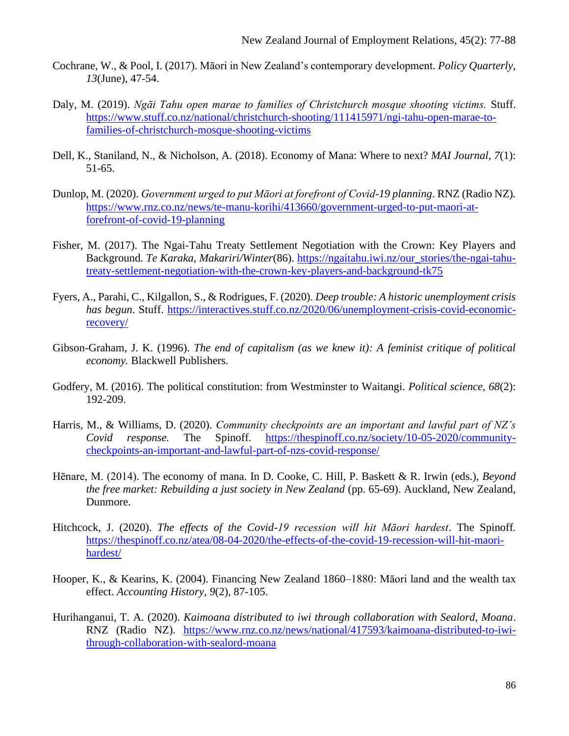- Cochrane, W., & Pool, I. (2017). Māori in New Zealand's contemporary development. *Policy Quarterly, 13*(June), 47-54.
- Daly, M. (2019). *Ngāi Tahu open marae to families of Christchurch mosque shooting victims.* Stuff. [https://www.stuff.co.nz/national/christchurch-shooting/111415971/ngi-tahu-open-marae-to](https://www.stuff.co.nz/national/christchurch-shooting/111415971/ngi-tahu-open-marae-to-families-of-christchurch-mosque-shooting-victims)[families-of-christchurch-mosque-shooting-victims](https://www.stuff.co.nz/national/christchurch-shooting/111415971/ngi-tahu-open-marae-to-families-of-christchurch-mosque-shooting-victims)
- Dell, K., Staniland, N., & Nicholson, A. (2018). Economy of Mana: Where to next? *MAI Journal*, *7*(1): 51-65.
- Dunlop, M. (2020). *Government urged to put Māori at forefront of Covid-19 planning*. RNZ (Radio NZ)*.*  [https://www.rnz.co.nz/news/te-manu-korihi/413660/government-urged-to-put-maori-at](https://www.rnz.co.nz/news/te-manu-korihi/413660/government-urged-to-put-maori-at-forefront-of-covid-19-planning)[forefront-of-covid-19-planning](https://www.rnz.co.nz/news/te-manu-korihi/413660/government-urged-to-put-maori-at-forefront-of-covid-19-planning)
- Fisher, M. (2017). The Ngai-Tahu Treaty Settlement Negotiation with the Crown: Key Players and Background. *Te Karaka, Makariri/Winter*(86). [https://ngaitahu.iwi.nz/our\\_stories/the-ngai-tahu](https://ngaitahu.iwi.nz/our_stories/the-ngai-tahu-treaty-settlement-negotiation-with-the-crown-key-players-and-background-tk75)[treaty-settlement-negotiation-with-the-crown-key-players-and-background-tk75](https://ngaitahu.iwi.nz/our_stories/the-ngai-tahu-treaty-settlement-negotiation-with-the-crown-key-players-and-background-tk75)
- Fyers, A., Parahi, C., Kilgallon, S., & Rodrigues, F. (2020). *Deep trouble: A historic unemployment crisis has begun*. Stuff. [https://interactives.stuff.co.nz/2020/06/unemployment-crisis-covid-economic](https://interactives.stuff.co.nz/2020/06/unemployment-crisis-covid-economic-recovery/)[recovery/](https://interactives.stuff.co.nz/2020/06/unemployment-crisis-covid-economic-recovery/)
- Gibson-Graham, J. K. (1996). *The end of capitalism (as we knew it): A feminist critique of political economy.* Blackwell Publishers.
- Godfery, M. (2016). The political constitution: from Westminster to Waitangi. *Political science, 68*(2): 192-209.
- Harris, M., & Williams, D. (2020). *Community checkpoints are an important and lawful part of NZ's Covid response.* The Spinoff. [https://thespinoff.co.nz/society/10-05-2020/community](https://thespinoff.co.nz/society/10-05-2020/community-checkpoints-an-important-and-lawful-part-of-nzs-covid-response/)[checkpoints-an-important-and-lawful-part-of-nzs-covid-response/](https://thespinoff.co.nz/society/10-05-2020/community-checkpoints-an-important-and-lawful-part-of-nzs-covid-response/)
- Hēnare, M. (2014). The economy of mana. In D. Cooke, C. Hill, P. Baskett & R. Irwin (eds.), *Beyond the free market: Rebuilding a just society in New Zealand (pp. 65-69). Auckland, New Zealand,* Dunmore.
- Hitchcock, J. (2020). *The effects of the Covid-19 recession will hit Māori hardest*. The Spinoff*.*  [https://thespinoff.co.nz/atea/08-04-2020/the-effects-of-the-covid-19-recession-will-hit-maori](https://thespinoff.co.nz/atea/08-04-2020/the-effects-of-the-covid-19-recession-will-hit-maori-hardest/)[hardest/](https://thespinoff.co.nz/atea/08-04-2020/the-effects-of-the-covid-19-recession-will-hit-maori-hardest/)
- Hooper, K., & Kearins, K. (2004). Financing New Zealand 1860–1880: Māori land and the wealth tax effect. *Accounting History*, *9*(2), 87-105.
- Hurihanganui, T. A. (2020). *Kaimoana distributed to iwi through collaboration with Sealord, Moana*. RNZ (Radio NZ)*.* [https://www.rnz.co.nz/news/national/417593/kaimoana-distributed-to-iwi](https://www.rnz.co.nz/news/national/417593/kaimoana-distributed-to-iwi-through-collaboration-with-sealord-moana)[through-collaboration-with-sealord-moana](https://www.rnz.co.nz/news/national/417593/kaimoana-distributed-to-iwi-through-collaboration-with-sealord-moana)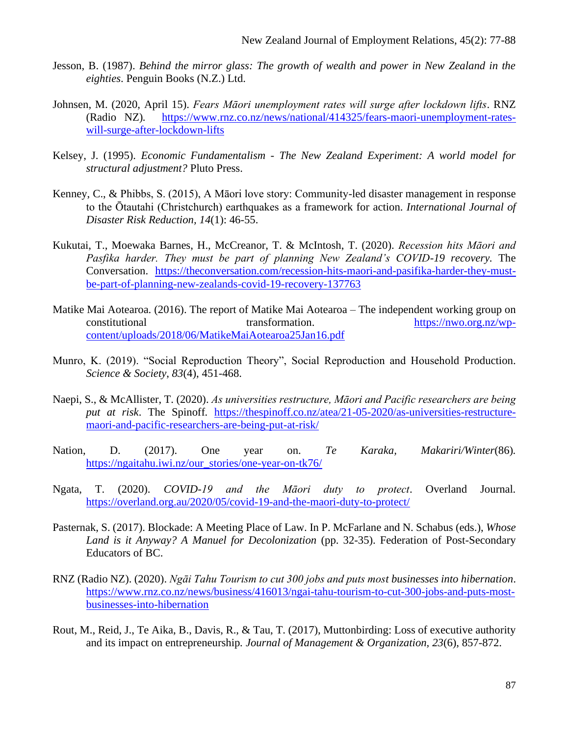- Jesson, B. (1987). *Behind the mirror glass: The growth of wealth and power in New Zealand in the eighties*. Penguin Books (N.Z.) Ltd.
- Johnsen, M. (2020, April 15). *Fears Māori unemployment rates will surge after lockdown lifts*. RNZ (Radio NZ)*.* [https://www.rnz.co.nz/news/national/414325/fears-maori-unemployment-rates](https://www.rnz.co.nz/news/national/414325/fears-maori-unemployment-rates-will-surge-after-lockdown-lifts)[will-surge-after-lockdown-lifts](https://www.rnz.co.nz/news/national/414325/fears-maori-unemployment-rates-will-surge-after-lockdown-lifts)
- Kelsey, J. (1995). *Economic Fundamentalism - The New Zealand Experiment: A world model for structural adjustment?* Pluto Press.
- Kenney, C., & Phibbs, S. (2015), A Māori love story: Community-led disaster management in response to the Ōtautahi (Christchurch) earthquakes as a framework for action. *International Journal of Disaster Risk Reduction, 14*(1): 46-55.
- Kukutai, T., Moewaka Barnes, H., McCreanor, T. & McIntosh, T. (2020). *Recession hits Māori and Pasfika harder. They must be part of planning New Zealand's COVID-19 recovery.* The Conversation. [https://theconversation.com/recession-hits-maori-and-pasifika-harder-they-must](https://theconversation.com/recession-hits-maori-and-pasifika-harder-they-must-be-part-of-planning-new-zealands-covid-19-recovery-137763)[be-part-of-planning-new-zealands-covid-19-recovery-137763](https://theconversation.com/recession-hits-maori-and-pasifika-harder-they-must-be-part-of-planning-new-zealands-covid-19-recovery-137763)
- Matike Mai Aotearoa. (2016). The report of Matike Mai Aotearoa The independent working group on constitutional transformation. [https://nwo.org.nz/wp](https://nwo.org.nz/wp-content/uploads/2018/06/MatikeMaiAotearoa25Jan16.pdf)[content/uploads/2018/06/MatikeMaiAotearoa25Jan16.pdf](https://nwo.org.nz/wp-content/uploads/2018/06/MatikeMaiAotearoa25Jan16.pdf)
- Munro, K. (2019). "Social Reproduction Theory", Social Reproduction and Household Production. *Science & Society*, *83*(4), 451-468.
- Naepi, S., & McAllister, T. (2020). *As universities restructure, Māori and Pacific researchers are being put at risk*. The Spinoff*.* [https://thespinoff.co.nz/atea/21-05-2020/as-universities-restructure](https://thespinoff.co.nz/atea/21-05-2020/as-universities-restructure-maori-and-pacific-researchers-are-being-put-at-risk/)[maori-and-pacific-researchers-are-being-put-at-risk/](https://thespinoff.co.nz/atea/21-05-2020/as-universities-restructure-maori-and-pacific-researchers-are-being-put-at-risk/)
- Nation, D. (2017). One year on. *Te Karaka, Makariri/Winter*(86)*.*  [https://ngaitahu.iwi.nz/our\\_stories/one-year-on-tk76/](https://ngaitahu.iwi.nz/our_stories/one-year-on-tk76/)
- Ngata, T. (2020). *COVID-19 and the Māori duty to protect*. Overland Journal*.*  <https://overland.org.au/2020/05/covid-19-and-the-maori-duty-to-protect/>
- Pasternak, S. (2017). Blockade: A Meeting Place of Law. In P. McFarlane and N. Schabus (eds.), *Whose Land is it Anyway? A Manuel for Decolonization* (pp. 32-35). Federation of Post-Secondary Educators of BC.
- RNZ (Radio NZ). (2020). *Ngāi Tahu Tourism to cut 300 jobs and puts most businesses into hibernation*. [https://www.rnz.co.nz/news/business/416013/ngai-tahu-tourism-to-cut-300-jobs-and-puts-most](https://www.rnz.co.nz/news/business/416013/ngai-tahu-tourism-to-cut-300-jobs-and-puts-most-businesses-into-hibernation)[businesses-into-hibernation](https://www.rnz.co.nz/news/business/416013/ngai-tahu-tourism-to-cut-300-jobs-and-puts-most-businesses-into-hibernation)
- Rout, M., Reid, J., Te Aika, B., Davis, R., & Tau, T. (2017), Muttonbirding: Loss of executive authority and its impact on entrepreneurship*. Journal of Management & Organization, 23*(6), 857-872.